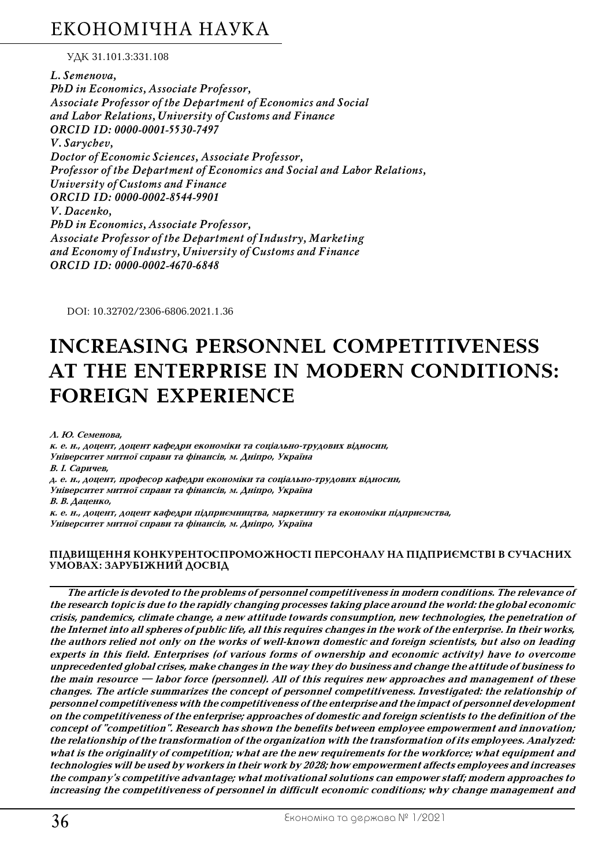## ЕКОНОМІЧНА НАУКА

УДК 31.101.3:331.108

*L. Semenova, PhD in Economics, Associate Professor, Associate Professor of the Department of Economics and Social and Labor Relations, University of Customs and Finance ORCID ID: 0000-0001-5530-7497 V. Sarychev, Doctor of Economic Sciences, Associate Professor, Professor of the Department of Economics and Social and Labor Relations, University of Customs and Finance ORCID ID: 0000-0002-8544-9901 V. Dacenko, PhD in Economics, Associate Professor, Associate Professor of the Department of Industry, Marketing and Economy of Industry, University of Customs and Finance ORCID ID: 0000-0002-4670-6848* 

DOI: 10.32702/2306-6806.2021.1.36

# **INCREASING PERSONNEL COMPETITIVENESS AT THE ENTERPRISE IN MODERN CONDITIONS: FOREIGN EXPERIENCE**

**Л. Ю. Семенова,**

к. е. н., доцент, доцент кафедри економіки та соціально-трудових відносин, **Університет митної справи та фінансів, м. Дніпро, Україна В. І. Саричев, д. е. н., доцент, професор кафедри економіки та соціальноZтрудових відносин, Університет митної справи та фінансів, м. Дніпро, Україна В. В. Даценко,**

**к. е. н., доцент, доцент кафедри підприємництва, маркетингу та економіки підприємства, Університет митної справи та фінансів, м. Дніпро, Україна**

### **ПІДВИЩЕННЯ КОНКУРЕНТОСПРОМОЖНОСТІ ПЕРСОНАЛУ НА ПІДПРИЄМСТВІ В СУЧАСНИХ УМОВАХ: ЗАРУБІЖНИЙ ДОСВІД**

**The article is devoted to the problems of personnel competitiveness in modern conditions. The relevance of the research topic is due to the rapidly changing processes taking place around the world: the global economic crisis, pandemics, climate change, a new attitude towards consumption, new technologies, the penetration of the Internet into all spheres of public life, all this requires changes in the work of the enterprise. In their works,** the authors relied not only on the works of well-known domestic and foreign scientists, but also on leading **experts in this field. Enterprises (of various forms of ownership and economic activity) have to overcome unprecedented global crises, make changes in the way they do business and change the attitude of business to the main resource — labor force (personnel). All of this requires new approaches and management of these changes. The article summarizes the concept of personnel competitiveness. Investigated: the relationship of personnel competitiveness with the competitiveness of the enterprise and the impact of personnel development on the competitiveness of the enterprise; approaches of domestic and foreign scientists to the definition of the concept of "competition". Research has shown the benefits between employee empowerment and innovation; the relationship of the transformation of the organization with the transformation of its employees. Analyzed: what is the originality of competition; what are the new requirements for the workforce; what equipment and technologies will be used by workers in their work by 2028; how empowerment affects employees and increases the company's competitive advantage; what motivational solutions can empower staff; modern approaches to increasing the competitiveness of personnel in difficult economic conditions; why change management and**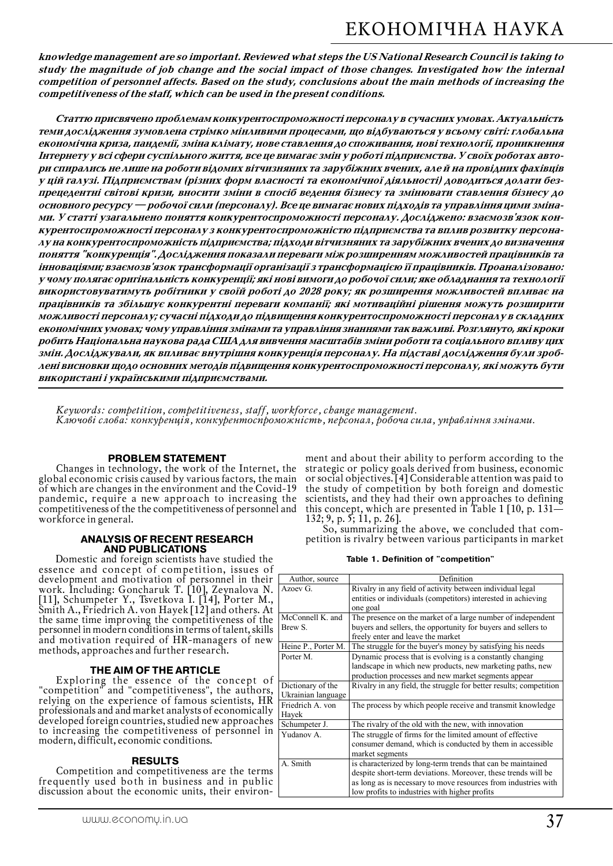**knowledge management are so important. Reviewed what steps the US National Research Council is taking to study the magnitude of job change and the social impact of those changes. Investigated how the internal competition of personnel affects. Based on the study, conclusions about the main methods of increasing the competitiveness of the staff, which can be used in the present conditions.**

**Статтю присвячено проблемам конкурентоспроможності персоналу в сучасних умовах. Актуальність теми дослідження зумовлена стрімко мінливими процесами, що відбуваються у всьому світі: глобальна економічна криза, пандемії, зміна клімату, нове ставлення до споживання, нові технології, проникнення Інтернету у всі сфери суспільного життя, все це вимагає змін у роботі підприємства. У своїх роботах автоZ ри спирались не лише на роботи відомих вітчизняних та зарубіжних вчених, але й на провідних фахівців** у цій галузі. Підприємствам (різних форм власності та економічної діяльності) доводиться долати без**прецедентні світові кризи, вносити зміни в спосіб ведення бізнесу та змінювати ставлення бізнесу до основного ресурсу — робочої сили (персоналу). Все це вимагає нових підходів та управління цими змінаZ** ми. У статті узагальнено поняття конкурентоспроможності персоналу. Досліджено: взаємозв'язок кон**курентоспроможності персоналу з конкурентоспроможністю підприємства та вплив розвитку персонаZ лу на конкурентоспроможність підприємства; підходи вітчизняних та зарубіжних вчених до визначення поняття "конкуренція". Дослідження показали переваги між розширенням можливостей працівників та інноваціями; взаємозв'язок трансформації організації з трансформацією її працівників. Проаналізовано: у чому полягає оригінальність конкуренції; які нові вимоги до робочої сили; яке обладнання та технології використовуватимуть робітники у своїй роботі до 2028 року; як розширення можливостей впливає на працівників та збільшує конкурентні переваги компанії; які мотиваційні рішення можуть розширити можливості персоналу; сучасні підходи до підвищення конкурентоспроможності персоналу в складних економічних умовах; чому управління змінами та управління знаннями так важливі. Розглянуто, які кроки робить Національна наукова рада США для вивчення масштабів зміни роботи та соціального впливу цих** змін. Досліджували, як впливає внутрішня конкуренція персоналу. На підставі дослідження були зроб**лені висновки щодо основних методів підвищення конкурентоспроможності персоналу, які можуть бути використані і українськими підприємствами.**

*Keywords: competition, competitiveness, staff, workforce, change management. Ключові слова: конкуренція, конкурентоспроможність, персонал, робоча сила, управління змінами.*

**PROBLEM STATEMENT**<br>Changes in technology, the work of the Internet, the global economic crisis caused by various factors, the main of which are changes in the environment and the Covid-19 pandemic, require a new approach to increasing the competitiveness of the the competitiveness of personnel and workforce in general.

### **ANALYSIS OF RECENT RESEARCH**

**AND PUBLICATIONS**<br>Domestic and foreign scientists have studied the essence and concept of competition, issues of development and motivation of personnel in their work. Including: Goncharuk T. [10], Zeynalova N. [11], Schumpeter Y., Tsvetkova I. [14], Porter M., Smith A., Friedrich A. von Hayek [12] and others. At the same time improving the competitiveness of the personnel in modern conditions in terms of talent, skills and motivation required of HR-managers of new methods, approaches and further research.

### **THE AIM OF THE ARTICLE**

Exploring the essence of the concept of "competition" and "competitiveness", the authors, relying on the experience of famous scientists, HR professionals and and market analysts of economically developed foreign countries, studied new approaches to increasing the competitiveness of personnel in modern, difficult, economic conditions.

**RESULTS**<br>Competition and competitiveness are the terms frequently used both in business and in public discussion about the economic units, their environ-

ment and about their ability to perform according to the strategic or policy goals derived from business, economic or social objectives. [4] Considerable attention was paid to the study of competition by both foreign and domestic scientists, and they had their own approaches to defining this concept, which are presented in Table 1 [10, p. 131 $-$ <br>132; 9, p. 5; 11, p. 26].

132; 9, p. 5; 11, p. 26]. So, summarizing the above, we concluded that com\$ petition is rivalry between various participants in market

**Table 1. Definition of "competition"**

| Author, source      | Definition                                                         |
|---------------------|--------------------------------------------------------------------|
| Azoev G             | Rivalry in any field of activity between individual legal          |
|                     | entities or individuals (competitors) interested in achieving      |
|                     | one goal                                                           |
| McConnell K. and    | The presence on the market of a large number of independent        |
| Brew S.             | buyers and sellers, the opportunity for buyers and sellers to      |
|                     | freely enter and leave the market                                  |
| Heine P., Porter M. | The struggle for the buyer's money by satisfying his needs         |
| Porter M.           | Dynamic process that is evolving is a constantly changing          |
|                     | landscape in which new products, new marketing paths, new          |
|                     | production processes and new market segments appear                |
| Dictionary of the   | Rivalry in any field, the struggle for better results; competition |
| Ukrainian language  |                                                                    |
| Friedrich A. von    | The process by which people receive and transmit knowledge         |
| Hayek               |                                                                    |
| Schumpeter J.       | The rivalry of the old with the new, with innovation               |
| Yudanov A.          | The struggle of firms for the limited amount of effective          |
|                     | consumer demand, which is conducted by them in accessible          |
|                     | market segments                                                    |
| A. Smith            | is characterized by long-term trends that can be maintained        |
|                     | despite short-term deviations. Moreover, these trends will be      |
|                     | as long as is necessary to move resources from industries with     |
|                     | low profits to industries with higher profits                      |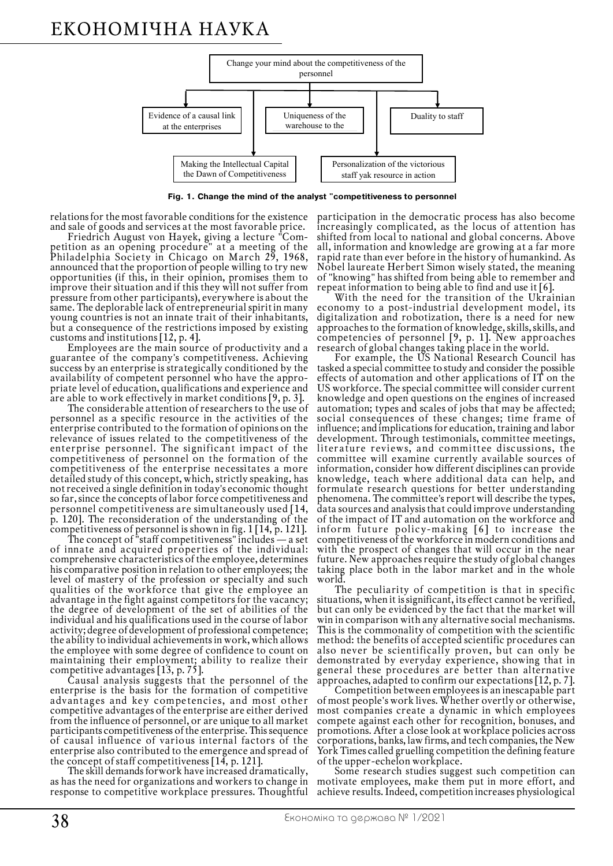# ЕКОНОМІЧНА НАУКА



**Fig. 1. Change the mind of the analyst "competitiveness to personnel**

relations for the most favorable conditions for the existence

and sale of goods and services at the most favorable price.<br>Friedrich August von Hayek, giving a lecture "Com-<br>petition as an opening procedure" at a meeting of the Philadelphia Society in Chicago on March 29, 1968, announced that the proportion of people willing to try new opportunities (if this, in their opinion, promises them to improve their situation and if this they will not suffer from pressure from other participants), everywhere is about the same. The deplorable lack of entrepreneurial spirit in many young countries is not an innate trait of their inhabitants, but a consequence of the restrictions imposed by existing customs and institutions [12, p. 4].

Employees are the main source of productivity and a guarantee of the company's competitiveness. Achieving success by an enterprise is strategically conditioned by the availability of competent personnel who have the appropriate level of education, qualifications and experience and<br>are able to work effectively in market conditions [9, p. 3].

The considerable attention of researchers to the use of personnel as a specific resource in the activities of the enterprise contributed to the formation of opinions on the relevance of issues related to the competitiveness of the enterprise personnel. The significant impact of the competitiveness of personnel on the formation of the competitiveness of the enterprise necessitates a more detailed study of this concept, which, strictly speaking, has not received a single definition in today's economic thought so far, since the concepts of labor force competitiveness and personnel competitiveness are simultaneously used [14, p. 120]. The reconsideration of the understanding of the

competitiveness of personnel is shown in fig. 1 [14, p. 121]. The concept of "staff competitiveness" includes — a set of innate and acquired properties of the individual: comprehensive characteristics of the employee, determines his comparative position in relation to other employees; the level of mastery of the profession or specialty and such qualities of the workforce that give the employee an advantage in the fight against competitors for the vacancy; the degree of development of the set of abilities of the individual and his qualifications used in the course of labor activity; degree of development of professional competence; the ability to individual achievements in work, which allows the employee with some degree of confidence to count on maintaining their employment; ability to realize their competitive advantages  $[13, p.75]$ .

Causal analysis suggests that the personnel of the enterprise is the basis for the formation of competitive advantages and key competencies, and most other competitive advantages of the enterprise are either derived from the influence of personnel, or are unique to all market participants competitiveness of the enterprise. This sequence of causal influence of various internal factors of the enterprise also contributed to the emergence and spread of<br>the concept of staff competitiveness [14, p. 121].

The skill demands forwork have increased dramatically, as has the need for organizations and workers to change in response to competitive workplace pressures. Thoughtful

participation in the democratic process has also become increasingly complicated, as the locus of attention has shifted from local to national and global concerns. Above all, information and knowledge are growing at a far more rapid rate than ever before in the history of humankind. As Nobel laureate Herbert Simon wisely stated, the meaning of "knowing" has shifted from being able to remember and repeat information to being able to find and use it  $[6]$ .

With the need for the transition of the Ukrainian economy to a post-industrial development model, its digitalization and robotization, there is a need for new approaches to the formation of knowledge, skills, skills, and competencies of personnel [9, р. 1]. New approaches

research of global changes taking place in the world. For example, the US National Research Council has tasked a special committee to study and consider the possible effects of automation and other applications of IT on the US workforce. The special committee will consider current knowledge and open questions on the engines of increased automation; types and scales of jobs that may be affected; social consequences of these changes; time frame of influence; and implications for education, training and labor development. Through testimonials, committee meetings, literature reviews, and committee discussions, the committee will examine currently available sources of information, consider how different disciplines can provide knowledge, teach where additional data can help, and formulate research questions for better understanding phenomena. The committee's report will describe the types, data sources and analysis that could improve understanding of the impact of IT and automation on the workforce and inform future policy-making [6] to increase the competitiveness of the workforce in modern conditions and with the prospect of changes that will occur in the near future. New approaches require the study of global changes taking place both in the labor market and in the whole

world.<br>The peculiarity of competition is that in specific situations, when it is significant, its effect cannot be verified, but can only be evidenced by the fact that the market will win in comparison with any alternative social mechanisms. This is the commonality of competition with the scientific method: the benefits of accepted scientific procedures can also never be scientifically proven, but can only be demonstrated by everyday experience, showing that in general these procedures are better than alternative

approaches, adapted to confirm our expectations [12, p. 7]. Competition between employees is an inescapable part of most people's work lives. Whether overtly or otherwise, most companies create a dynamic in which employees compete against each other for recognition, bonuses, and promotions. After a close look at workplace policies across corporations, banks, law firms, and tech companies, the New York Times called gruelling competition the defining feature<br>of the upper-echelon workplace.

Some research studies suggest such competition can motivate employees, make them put in more effort, and achieve results. Indeed, competition increases physiological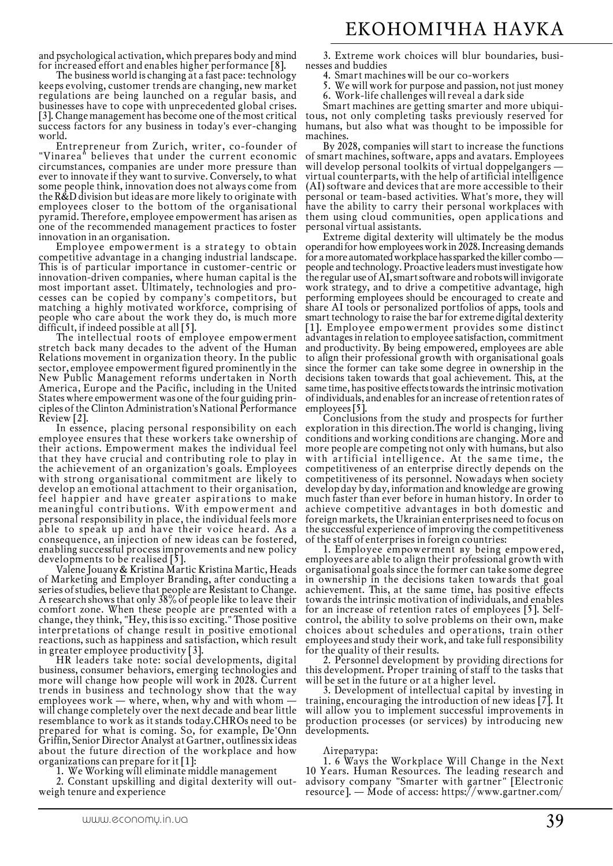and psychological activation, which prepares body and mind for increased effort and enables higher performance  $[8]$ .

The business world is changing at a fast pace: technology keeps evolving, customer trends are changing, new market regulations are being launched on a regular basis, and businesses have to cope with unprecedented global crises. [3]. Change management has become one of the most critical success factors for any business in today's ever-changing

world.<br>Entrepreneur from Zurich, writer, co-founder of "Vinarea" believes that under the current economic circumstances, companies are under more pressure than ever to innovate if they want to survive. Conversely, to what some people think, innovation does not always come from the R&D division but ideas are more likely to originate with employees closer to the bottom of the organisational pyramid. Therefore, employee empowerment has arisen as one of the recommended management practices to foster

innovation in an organisation. Employee empowerment is a strategy to obtain competitive advantage in a changing industrial landscape. This is of particular importance in customer-centric or innovation-driven companies, where human capital is the most important asset. Ultimately, technologies and processes can be copied by company's competitors, but matching a highly motivated workforce, comprising of people who care about the work they do, is much more

difficult, if indeed possible at all [5]. The intellectual roots of employee empowerment stretch back many decades to the advent of the Human Relations movement in organization theory. In the public sector, employee empowerment figured prominently in the New Public Management reforms undertaken in North America, Europe and the Pacific, including in the United States where empowerment was one of the four guiding principles of the Clinton Administration's National Performance

In essence, placing personal responsibility on each employee ensures that these workers take ownership of their actions. Empowerment makes the individual feel that they have crucial and contributing role to play in the achievement of an organization's goals. Employees with strong organisational commitment are likely to develop an emotional attachment to their organisation, feel happier and have greater aspirations to make meaningful contributions. With empowerment and personal responsibility in place, the individual feels more able to speak up and have their voice heard. As a consequence, an injection of new ideas can be fostered, enabling successful process improvements and new policy

developments to be realised [5].<br>Valene Jouany & Kristina Martic Kristina Martic, Heads<br>of Marketing and Employer Branding, after conducting a series of studies, believe that people are Resistant to Change. A research shows that only 38% of people like to leave their comfort zone. When these people are presented with a change, they think, "Hey, this is so exciting." Those positive interpretations of change result in positive emotional reactions, such as happiness and satisfaction, which result in greater employee productivity [3].

<sup>o</sup>HR leaders take note: social developments, digital business, consumer behaviors, emerging technologies and more will change how people will work in 2028. Current trends in business and technology show that the way employees work — where, when, why and with whom  $\cdot$ will change completely over the next decade and bear little resemblance to work as it stands today.CHROs need to be prepared for what is coming. So, for example, De'Onn Griffin, Senior Director Analyst at Gartner, outlines six ideas about the future direction of the workplace and how organizations can prepare for it  $[1]$ :

1. We Working will eliminate middle management

2. Constant upskilling and digital dexterity will out-<br> weigh tenure and experience

3. Extreme work choices will blur boundaries, businesses and buddies

- 4. Smart machines will be our co-workers
- 5. We will work for purpose and passion, not just money
- 6. Work-life challenges will reveal a dark side<br>Smart machines are getting smarter and more ubiqui-

tous, not only completing tasks previously reserved for humans, but also what was thought to be impossible for

machines.<br>By 2028, companies will start to increase the functions By 2028, companies will start to increase the functions of smart machines, software, apps and avatars. Employees will develop personal toolkits of virtual doppelgangers virtual counterparts, with the help of artificial intelligence (AI) software and devices that are more accessible to their personal or team-based activities. What's more, they will have the ability to carry their personal workplaces with them using cloud communities, open applications and

personal virtual assistants. Extreme digital dexterity will ultimately be the modus operandi for how employees work in 2028. Increasing demands for a more automated workplace has sparked the killer combopeople and technology. Proactive leaders must investigate how the regular use of AI, smart software and robots will invigorate work strategy, and to drive a competitive advantage, high performing employees should be encouraged to create and share AI tools or personalized portfolios of apps, tools and smart technology to raise the bar for extreme digital dexterity [1]. Employee empowerment provides some distinct advantages in relation to employee satisfaction, commitment and productivity. By being empowered, employees are able to align their professional growth with organisational goals since the former can take some degree in ownership in the decisions taken towards that goal achievement. This, at the same time, has positive effects towards the intrinsic motivation of individuals, and enables for an increase of retention rates of

Conclusions from the study and prospects for further exploration in this direction.The world is changing, living conditions and working conditions are changing. More and more people are competing not only with humans, but also with artificial intelligence. At the same time, the competitiveness of an enterprise directly depends on the competitiveness of its personnel. Nowadays when society develop day by day, information and knowledge are growing much faster than ever before in human history. In order to achieve competitive advantages in both domestic and foreign markets, the Ukrainian enterprises need to focus on the successful experience of improving the competitiveness of the staff of enterprises in foreign countries:

1. Employee empowerment вy being empowered, employees are able to align their professional growth with organisational goals since the former can take some degree in ownership in the decisions taken towards that goal achievement. This, at the same time, has positive effects towards the intrinsic motivation of individuals, and enables for an increase of retention rates of employees  $[5]$ . Selfcontrol, the ability to solve problems on their own, make choices about schedules and operations, train other employees and study their work, and take full responsibility

for the quality of their results.<br>2. Personnel development by providing directions for<br>this development. Proper training of staff to the tasks that<br>will be set in the future or at a higher level.

3. Development of intellectual capital by investing in training, encouraging the introduction of new ideas [7]. It will allow you to implement successful improvements in production processes (or services) by introducing new developments.

### Література:

1. 6 Ways the Workplace Will Change in the Next 10 Years. Human Resources. The leading research and advisory company "Smarter with gartner" [Electronic resource]. — Mode of access: https://www.gartner.com/